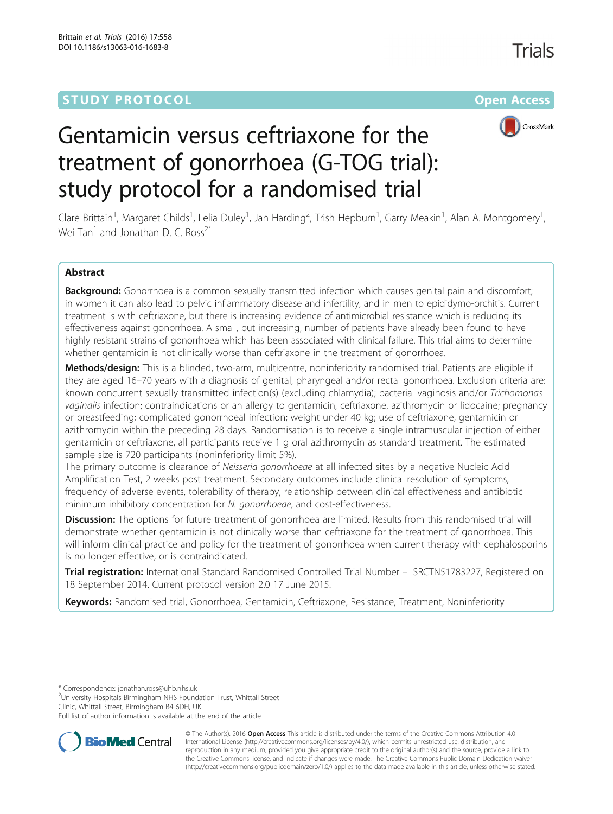# **STUDY PROTOCOL CONSUMING THE RESERVE ACCESS**



# Gentamicin versus ceftriaxone for the treatment of gonorrhoea (G-TOG trial): study protocol for a randomised trial

Clare Brittain<sup>1</sup>, Margaret Childs<sup>1</sup>, Lelia Duley<sup>1</sup>, Jan Harding<sup>2</sup>, Trish Hepburn<sup>1</sup>, Garry Meakin<sup>1</sup>, Alan A. Montgomery<sup>1</sup> , Wei Tan<sup>1</sup> and Jonathan D. C. Ross<sup>2\*</sup>

# Abstract

Background: Gonorrhoea is a common sexually transmitted infection which causes genital pain and discomfort; in women it can also lead to pelvic inflammatory disease and infertility, and in men to epididymo-orchitis. Current treatment is with ceftriaxone, but there is increasing evidence of antimicrobial resistance which is reducing its effectiveness against gonorrhoea. A small, but increasing, number of patients have already been found to have highly resistant strains of gonorrhoea which has been associated with clinical failure. This trial aims to determine whether gentamicin is not clinically worse than ceftriaxone in the treatment of gonorrhoea.

Methods/design: This is a blinded, two-arm, multicentre, noninferiority randomised trial. Patients are eligible if they are aged 16–70 years with a diagnosis of genital, pharyngeal and/or rectal gonorrhoea. Exclusion criteria are: known concurrent sexually transmitted infection(s) (excluding chlamydia); bacterial vaginosis and/or Trichomonas vaginalis infection; contraindications or an allergy to gentamicin, ceftriaxone, azithromycin or lidocaine; pregnancy or breastfeeding; complicated gonorrhoeal infection; weight under 40 kg; use of ceftriaxone, gentamicin or azithromycin within the preceding 28 days. Randomisation is to receive a single intramuscular injection of either gentamicin or ceftriaxone, all participants receive 1 g oral azithromycin as standard treatment. The estimated sample size is 720 participants (noninferiority limit 5%).

The primary outcome is clearance of Neisseria gonorrhoeae at all infected sites by a negative Nucleic Acid Amplification Test, 2 weeks post treatment. Secondary outcomes include clinical resolution of symptoms, frequency of adverse events, tolerability of therapy, relationship between clinical effectiveness and antibiotic minimum inhibitory concentration for N. gonorrhoeae, and cost-effectiveness.

**Discussion:** The options for future treatment of gonorrhoea are limited. Results from this randomised trial will demonstrate whether gentamicin is not clinically worse than ceftriaxone for the treatment of gonorrhoea. This will inform clinical practice and policy for the treatment of gonorrhoea when current therapy with cephalosporins is no longer effective, or is contraindicated.

Trial registration: International Standard Randomised Controlled Trial Number - [ISRCTN51783227](http://www.isrctn.com/ISRCTN51783227?q=GTOG&filters=&sort=&offset=1&totalResults=1&page=1&pageSize=10&searchType=basic-search), Registered on 18 September 2014. Current protocol version 2.0 17 June 2015.

Keywords: Randomised trial, Gonorrhoea, Gentamicin, Ceftriaxone, Resistance, Treatment, Noninferiority

\* Correspondence: [jonathan.ross@uhb.nhs.uk](mailto:jonathan.ross@uhb.nhs.uk) <sup>2</sup>

University Hospitals Birmingham NHS Foundation Trust, Whittall Street Clinic, Whittall Street, Birmingham B4 6DH, UK

Full list of author information is available at the end of the article



© The Author(s). 2016 **Open Access** This article is distributed under the terms of the Creative Commons Attribution 4.0 International License [\(http://creativecommons.org/licenses/by/4.0/](http://creativecommons.org/licenses/by/4.0/)), which permits unrestricted use, distribution, and reproduction in any medium, provided you give appropriate credit to the original author(s) and the source, provide a link to the Creative Commons license, and indicate if changes were made. The Creative Commons Public Domain Dedication waiver [\(http://creativecommons.org/publicdomain/zero/1.0/](http://creativecommons.org/publicdomain/zero/1.0/)) applies to the data made available in this article, unless otherwise stated.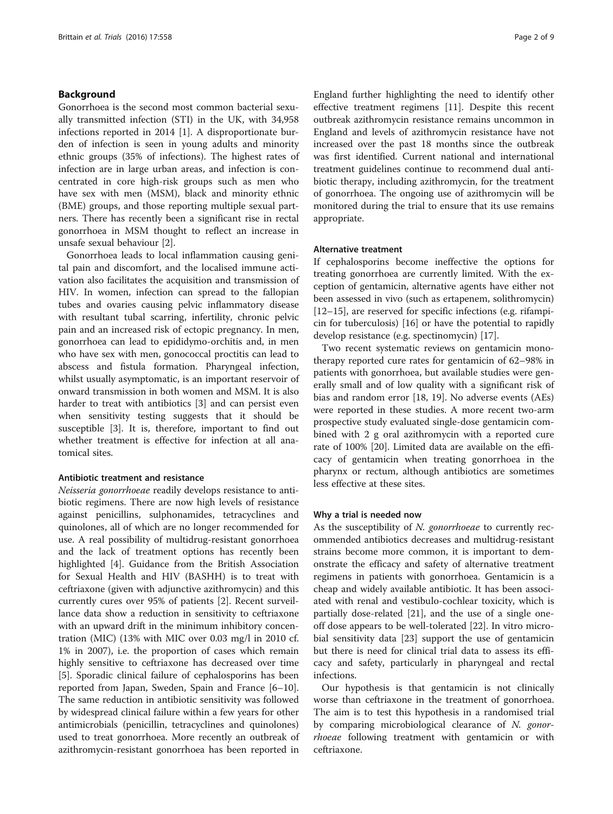# Background

Gonorrhoea is the second most common bacterial sexually transmitted infection (STI) in the UK, with 34,958 infections reported in 2014 [[1\]](#page-7-0). A disproportionate burden of infection is seen in young adults and minority ethnic groups (35% of infections). The highest rates of infection are in large urban areas, and infection is concentrated in core high-risk groups such as men who have sex with men (MSM), black and minority ethnic (BME) groups, and those reporting multiple sexual partners. There has recently been a significant rise in rectal gonorrhoea in MSM thought to reflect an increase in unsafe sexual behaviour [\[2](#page-7-0)].

Gonorrhoea leads to local inflammation causing genital pain and discomfort, and the localised immune activation also facilitates the acquisition and transmission of HIV. In women, infection can spread to the fallopian tubes and ovaries causing pelvic inflammatory disease with resultant tubal scarring, infertility, chronic pelvic pain and an increased risk of ectopic pregnancy. In men, gonorrhoea can lead to epididymo-orchitis and, in men who have sex with men, gonococcal proctitis can lead to abscess and fistula formation. Pharyngeal infection, whilst usually asymptomatic, is an important reservoir of onward transmission in both women and MSM. It is also harder to treat with antibiotics [[3\]](#page-7-0) and can persist even when sensitivity testing suggests that it should be susceptible [[3\]](#page-7-0). It is, therefore, important to find out whether treatment is effective for infection at all anatomical sites.

# Antibiotic treatment and resistance

Neisseria gonorrhoeae readily develops resistance to antibiotic regimens. There are now high levels of resistance against penicillins, sulphonamides, tetracyclines and quinolones, all of which are no longer recommended for use. A real possibility of multidrug-resistant gonorrhoea and the lack of treatment options has recently been highlighted [\[4](#page-7-0)]. Guidance from the British Association for Sexual Health and HIV (BASHH) is to treat with ceftriaxone (given with adjunctive azithromycin) and this currently cures over 95% of patients [\[2](#page-7-0)]. Recent surveillance data show a reduction in sensitivity to ceftriaxone with an upward drift in the minimum inhibitory concentration (MIC) (13% with MIC over 0.03 mg/l in 2010 cf. 1% in 2007), i.e. the proportion of cases which remain highly sensitive to ceftriaxone has decreased over time [[5\]](#page-7-0). Sporadic clinical failure of cephalosporins has been reported from Japan, Sweden, Spain and France [[6](#page-7-0)–[10](#page-8-0)]. The same reduction in antibiotic sensitivity was followed by widespread clinical failure within a few years for other antimicrobials (penicillin, tetracyclines and quinolones) used to treat gonorrhoea. More recently an outbreak of azithromycin-resistant gonorrhoea has been reported in

England further highlighting the need to identify other effective treatment regimens [[11](#page-8-0)]. Despite this recent outbreak azithromycin resistance remains uncommon in England and levels of azithromycin resistance have not increased over the past 18 months since the outbreak was first identified. Current national and international treatment guidelines continue to recommend dual antibiotic therapy, including azithromycin, for the treatment of gonorrhoea. The ongoing use of azithromycin will be monitored during the trial to ensure that its use remains appropriate.

# Alternative treatment

If cephalosporins become ineffective the options for treating gonorrhoea are currently limited. With the exception of gentamicin, alternative agents have either not been assessed in vivo (such as ertapenem, solithromycin) [[12](#page-8-0)–[15](#page-8-0)], are reserved for specific infections (e.g. rifampicin for tuberculosis) [[16\]](#page-8-0) or have the potential to rapidly develop resistance (e.g. spectinomycin) [[17\]](#page-8-0).

Two recent systematic reviews on gentamicin monotherapy reported cure rates for gentamicin of 62–98% in patients with gonorrhoea, but available studies were generally small and of low quality with a significant risk of bias and random error [\[18, 19](#page-8-0)]. No adverse events (AEs) were reported in these studies. A more recent two-arm prospective study evaluated single-dose gentamicin combined with 2 g oral azithromycin with a reported cure rate of 100% [[20](#page-8-0)]. Limited data are available on the efficacy of gentamicin when treating gonorrhoea in the pharynx or rectum, although antibiotics are sometimes less effective at these sites.

# Why a trial is needed now

As the susceptibility of N. gonorrhoeae to currently recommended antibiotics decreases and multidrug-resistant strains become more common, it is important to demonstrate the efficacy and safety of alternative treatment regimens in patients with gonorrhoea. Gentamicin is a cheap and widely available antibiotic. It has been associated with renal and vestibulo-cochlear toxicity, which is partially dose-related [[21\]](#page-8-0), and the use of a single oneoff dose appears to be well-tolerated [[22](#page-8-0)]. In vitro microbial sensitivity data [[23\]](#page-8-0) support the use of gentamicin but there is need for clinical trial data to assess its efficacy and safety, particularly in pharyngeal and rectal infections.

Our hypothesis is that gentamicin is not clinically worse than ceftriaxone in the treatment of gonorrhoea. The aim is to test this hypothesis in a randomised trial by comparing microbiological clearance of N. gonorrhoeae following treatment with gentamicin or with ceftriaxone.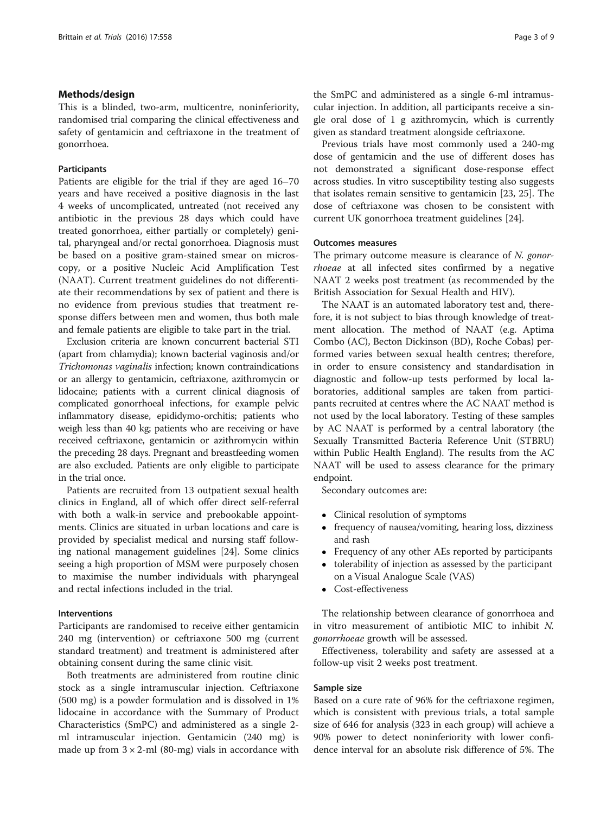# Methods/design

This is a blinded, two-arm, multicentre, noninferiority, randomised trial comparing the clinical effectiveness and safety of gentamicin and ceftriaxone in the treatment of gonorrhoea.

# Participants

Patients are eligible for the trial if they are aged 16–70 years and have received a positive diagnosis in the last 4 weeks of uncomplicated, untreated (not received any antibiotic in the previous 28 days which could have treated gonorrhoea, either partially or completely) genital, pharyngeal and/or rectal gonorrhoea. Diagnosis must be based on a positive gram-stained smear on microscopy, or a positive Nucleic Acid Amplification Test (NAAT). Current treatment guidelines do not differentiate their recommendations by sex of patient and there is no evidence from previous studies that treatment response differs between men and women, thus both male and female patients are eligible to take part in the trial.

Exclusion criteria are known concurrent bacterial STI (apart from chlamydia); known bacterial vaginosis and/or Trichomonas vaginalis infection; known contraindications or an allergy to gentamicin, ceftriaxone, azithromycin or lidocaine; patients with a current clinical diagnosis of complicated gonorrhoeal infections, for example pelvic inflammatory disease, epididymo-orchitis; patients who weigh less than 40 kg; patients who are receiving or have received ceftriaxone, gentamicin or azithromycin within the preceding 28 days. Pregnant and breastfeeding women are also excluded. Patients are only eligible to participate in the trial once.

Patients are recruited from 13 outpatient sexual health clinics in England, all of which offer direct self-referral with both a walk-in service and prebookable appointments. Clinics are situated in urban locations and care is provided by specialist medical and nursing staff following national management guidelines [[24\]](#page-8-0). Some clinics seeing a high proportion of MSM were purposely chosen to maximise the number individuals with pharyngeal and rectal infections included in the trial.

# Interventions

Participants are randomised to receive either gentamicin 240 mg (intervention) or ceftriaxone 500 mg (current standard treatment) and treatment is administered after obtaining consent during the same clinic visit.

Both treatments are administered from routine clinic stock as a single intramuscular injection. Ceftriaxone (500 mg) is a powder formulation and is dissolved in 1% lidocaine in accordance with the Summary of Product Characteristics (SmPC) and administered as a single 2 ml intramuscular injection. Gentamicin (240 mg) is made up from  $3 \times 2$ -ml (80-mg) vials in accordance with the SmPC and administered as a single 6-ml intramuscular injection. In addition, all participants receive a single oral dose of 1 g azithromycin, which is currently given as standard treatment alongside ceftriaxone.

Previous trials have most commonly used a 240-mg dose of gentamicin and the use of different doses has not demonstrated a significant dose-response effect across studies. In vitro susceptibility testing also suggests that isolates remain sensitive to gentamicin [\[23, 25\]](#page-8-0). The dose of ceftriaxone was chosen to be consistent with current UK gonorrhoea treatment guidelines [\[24\]](#page-8-0).

# Outcomes measures

The primary outcome measure is clearance of N. gonorrhoeae at all infected sites confirmed by a negative NAAT 2 weeks post treatment (as recommended by the British Association for Sexual Health and HIV).

The NAAT is an automated laboratory test and, therefore, it is not subject to bias through knowledge of treatment allocation. The method of NAAT (e.g. Aptima Combo (AC), Becton Dickinson (BD), Roche Cobas) performed varies between sexual health centres; therefore, in order to ensure consistency and standardisation in diagnostic and follow-up tests performed by local laboratories, additional samples are taken from participants recruited at centres where the AC NAAT method is not used by the local laboratory. Testing of these samples by AC NAAT is performed by a central laboratory (the Sexually Transmitted Bacteria Reference Unit (STBRU) within Public Health England). The results from the AC NAAT will be used to assess clearance for the primary endpoint.

Secondary outcomes are:

- Clinical resolution of symptoms<br>• frequency of nausea/yomiting. h
- frequency of nausea/vomiting, hearing loss, dizziness and rash
- Frequency of any other AEs reported by participants<br>• tolerability of injection as assessed by the participant
- tolerability of injection as assessed by the participant on a Visual Analogue Scale (VAS)
- Cost-effectiveness

The relationship between clearance of gonorrhoea and in vitro measurement of antibiotic MIC to inhibit N. gonorrhoeae growth will be assessed.

Effectiveness, tolerability and safety are assessed at a follow-up visit 2 weeks post treatment.

# Sample size

Based on a cure rate of 96% for the ceftriaxone regimen, which is consistent with previous trials, a total sample size of 646 for analysis (323 in each group) will achieve a 90% power to detect noninferiority with lower confidence interval for an absolute risk difference of 5%. The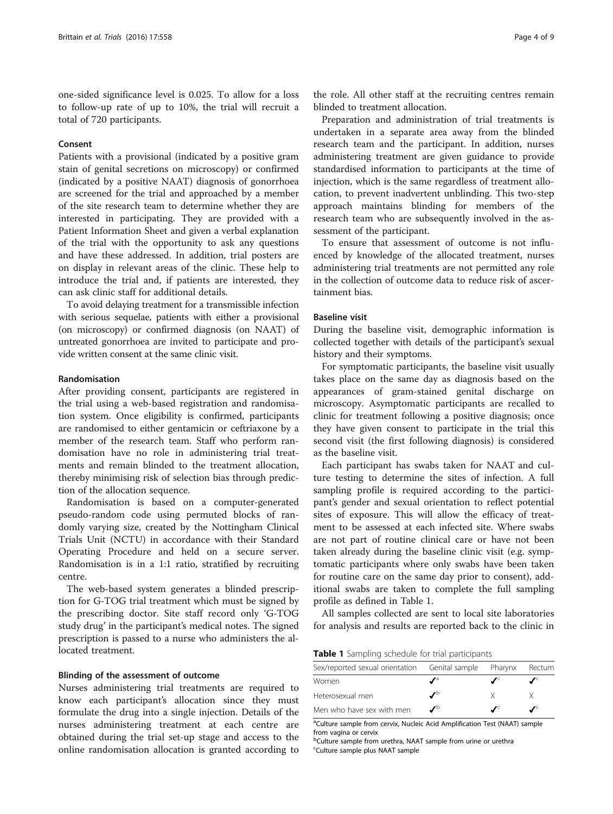one-sided significance level is 0.025. To allow for a loss to follow-up rate of up to 10%, the trial will recruit a total of 720 participants.

# Consent

Patients with a provisional (indicated by a positive gram stain of genital secretions on microscopy) or confirmed (indicated by a positive NAAT) diagnosis of gonorrhoea are screened for the trial and approached by a member of the site research team to determine whether they are interested in participating. They are provided with a Patient Information Sheet and given a verbal explanation of the trial with the opportunity to ask any questions and have these addressed. In addition, trial posters are on display in relevant areas of the clinic. These help to introduce the trial and, if patients are interested, they can ask clinic staff for additional details.

To avoid delaying treatment for a transmissible infection with serious sequelae, patients with either a provisional (on microscopy) or confirmed diagnosis (on NAAT) of untreated gonorrhoea are invited to participate and provide written consent at the same clinic visit.

# Randomisation

After providing consent, participants are registered in the trial using a web-based registration and randomisation system. Once eligibility is confirmed, participants are randomised to either gentamicin or ceftriaxone by a member of the research team. Staff who perform randomisation have no role in administering trial treatments and remain blinded to the treatment allocation, thereby minimising risk of selection bias through prediction of the allocation sequence.

Randomisation is based on a computer-generated pseudo-random code using permuted blocks of randomly varying size, created by the Nottingham Clinical Trials Unit (NCTU) in accordance with their Standard Operating Procedure and held on a secure server. Randomisation is in a 1:1 ratio, stratified by recruiting centre.

The web-based system generates a blinded prescription for G-TOG trial treatment which must be signed by the prescribing doctor. Site staff record only 'G-TOG study drug' in the participant's medical notes. The signed prescription is passed to a nurse who administers the allocated treatment.

# Blinding of the assessment of outcome

Nurses administering trial treatments are required to know each participant's allocation since they must formulate the drug into a single injection. Details of the nurses administering treatment at each centre are obtained during the trial set-up stage and access to the online randomisation allocation is granted according to

the role. All other staff at the recruiting centres remain blinded to treatment allocation.

Preparation and administration of trial treatments is undertaken in a separate area away from the blinded research team and the participant. In addition, nurses administering treatment are given guidance to provide standardised information to participants at the time of injection, which is the same regardless of treatment allocation, to prevent inadvertent unblinding. This two-step approach maintains blinding for members of the research team who are subsequently involved in the assessment of the participant.

To ensure that assessment of outcome is not influenced by knowledge of the allocated treatment, nurses administering trial treatments are not permitted any role in the collection of outcome data to reduce risk of ascertainment bias.

# Baseline visit

During the baseline visit, demographic information is collected together with details of the participant's sexual history and their symptoms.

For symptomatic participants, the baseline visit usually takes place on the same day as diagnosis based on the appearances of gram-stained genital discharge on microscopy. Asymptomatic participants are recalled to clinic for treatment following a positive diagnosis; once they have given consent to participate in the trial this second visit (the first following diagnosis) is considered as the baseline visit.

Each participant has swabs taken for NAAT and culture testing to determine the sites of infection. A full sampling profile is required according to the participant's gender and sexual orientation to reflect potential sites of exposure. This will allow the efficacy of treatment to be assessed at each infected site. Where swabs are not part of routine clinical care or have not been taken already during the baseline clinic visit (e.g. symptomatic participants where only swabs have been taken for routine care on the same day prior to consent), additional swabs are taken to complete the full sampling profile as defined in Table 1.

All samples collected are sent to local site laboratories for analysis and results are reported back to the clinic in

Table 1 Sampling schedule for trial participants

| Sex/reported sexual orientation Genital sample Pharynx |                       |   | Rectum |
|--------------------------------------------------------|-----------------------|---|--------|
| Women                                                  |                       |   |        |
| Heterosexual men                                       | ℐ                     | X |        |
| Men who have sex with men                              | $\mathcal{L}^{\circ}$ |   |        |

<sup>a</sup>Culture sample from cervix, Nucleic Acid Amplification Test (NAAT) sample from vagina or cervix

<sup>b</sup>Culture sample from urethra, NAAT sample from urine or urethra c Culture sample plus NAAT sample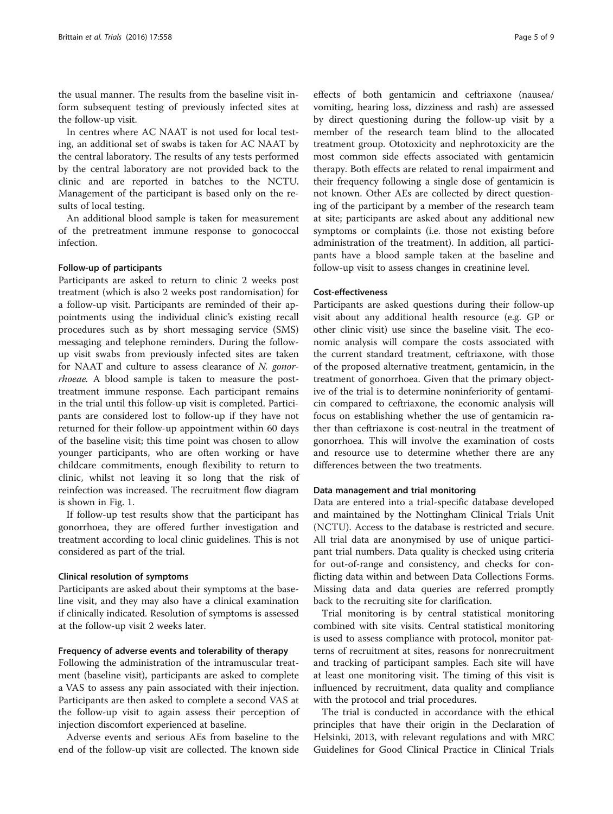the usual manner. The results from the baseline visit inform subsequent testing of previously infected sites at the follow-up visit.

In centres where AC NAAT is not used for local testing, an additional set of swabs is taken for AC NAAT by the central laboratory. The results of any tests performed by the central laboratory are not provided back to the clinic and are reported in batches to the NCTU. Management of the participant is based only on the results of local testing.

An additional blood sample is taken for measurement of the pretreatment immune response to gonococcal infection.

# Follow-up of participants

Participants are asked to return to clinic 2 weeks post treatment (which is also 2 weeks post randomisation) for a follow-up visit. Participants are reminded of their appointments using the individual clinic's existing recall procedures such as by short messaging service (SMS) messaging and telephone reminders. During the followup visit swabs from previously infected sites are taken for NAAT and culture to assess clearance of N. gonorrhoeae. A blood sample is taken to measure the posttreatment immune response. Each participant remains in the trial until this follow-up visit is completed. Participants are considered lost to follow-up if they have not returned for their follow-up appointment within 60 days of the baseline visit; this time point was chosen to allow younger participants, who are often working or have childcare commitments, enough flexibility to return to clinic, whilst not leaving it so long that the risk of reinfection was increased. The recruitment flow diagram is shown in Fig. [1.](#page-5-0)

If follow-up test results show that the participant has gonorrhoea, they are offered further investigation and treatment according to local clinic guidelines. This is not considered as part of the trial.

# Clinical resolution of symptoms

Participants are asked about their symptoms at the baseline visit, and they may also have a clinical examination if clinically indicated. Resolution of symptoms is assessed at the follow-up visit 2 weeks later.

# Frequency of adverse events and tolerability of therapy

Following the administration of the intramuscular treatment (baseline visit), participants are asked to complete a VAS to assess any pain associated with their injection. Participants are then asked to complete a second VAS at the follow-up visit to again assess their perception of injection discomfort experienced at baseline.

Adverse events and serious AEs from baseline to the end of the follow-up visit are collected. The known side effects of both gentamicin and ceftriaxone (nausea/ vomiting, hearing loss, dizziness and rash) are assessed by direct questioning during the follow-up visit by a member of the research team blind to the allocated treatment group. Ototoxicity and nephrotoxicity are the most common side effects associated with gentamicin therapy. Both effects are related to renal impairment and their frequency following a single dose of gentamicin is not known. Other AEs are collected by direct questioning of the participant by a member of the research team at site; participants are asked about any additional new symptoms or complaints (i.e. those not existing before administration of the treatment). In addition, all participants have a blood sample taken at the baseline and follow-up visit to assess changes in creatinine level.

# Cost-effectiveness

Participants are asked questions during their follow-up visit about any additional health resource (e.g. GP or other clinic visit) use since the baseline visit. The economic analysis will compare the costs associated with the current standard treatment, ceftriaxone, with those of the proposed alternative treatment, gentamicin, in the treatment of gonorrhoea. Given that the primary objective of the trial is to determine noninferiority of gentamicin compared to ceftriaxone, the economic analysis will focus on establishing whether the use of gentamicin rather than ceftriaxone is cost-neutral in the treatment of gonorrhoea. This will involve the examination of costs and resource use to determine whether there are any differences between the two treatments.

# Data management and trial monitoring

Data are entered into a trial-specific database developed and maintained by the Nottingham Clinical Trials Unit (NCTU). Access to the database is restricted and secure. All trial data are anonymised by use of unique participant trial numbers. Data quality is checked using criteria for out-of-range and consistency, and checks for conflicting data within and between Data Collections Forms. Missing data and data queries are referred promptly back to the recruiting site for clarification.

Trial monitoring is by central statistical monitoring combined with site visits. Central statistical monitoring is used to assess compliance with protocol, monitor patterns of recruitment at sites, reasons for nonrecruitment and tracking of participant samples. Each site will have at least one monitoring visit. The timing of this visit is influenced by recruitment, data quality and compliance with the protocol and trial procedures.

The trial is conducted in accordance with the ethical principles that have their origin in the Declaration of Helsinki, 2013, with relevant regulations and with MRC Guidelines for Good Clinical Practice in Clinical Trials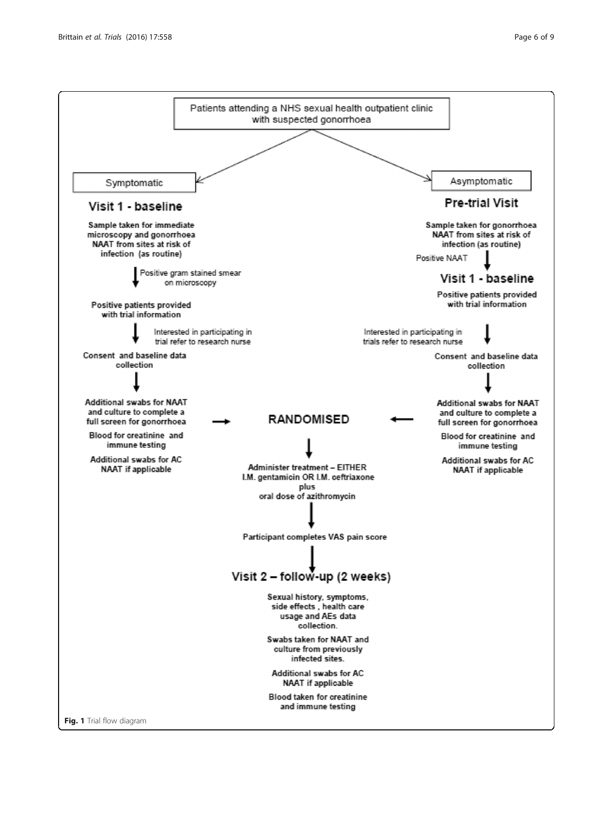<span id="page-5-0"></span>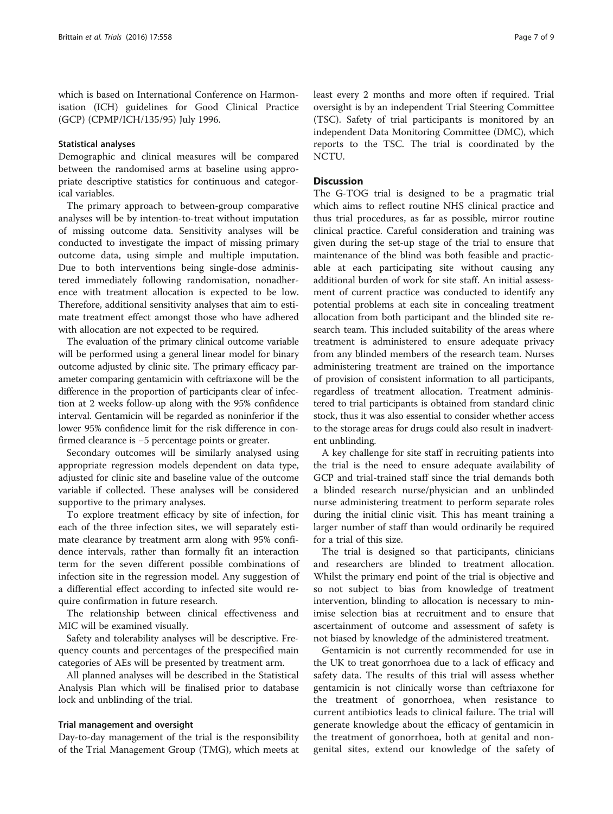which is based on International Conference on Harmonisation (ICH) guidelines for Good Clinical Practice (GCP) (CPMP/ICH/135/95) July 1996.

# Statistical analyses

Demographic and clinical measures will be compared between the randomised arms at baseline using appropriate descriptive statistics for continuous and categorical variables.

The primary approach to between-group comparative analyses will be by intention-to-treat without imputation of missing outcome data. Sensitivity analyses will be conducted to investigate the impact of missing primary outcome data, using simple and multiple imputation. Due to both interventions being single-dose administered immediately following randomisation, nonadherence with treatment allocation is expected to be low. Therefore, additional sensitivity analyses that aim to estimate treatment effect amongst those who have adhered with allocation are not expected to be required.

The evaluation of the primary clinical outcome variable will be performed using a general linear model for binary outcome adjusted by clinic site. The primary efficacy parameter comparing gentamicin with ceftriaxone will be the difference in the proportion of participants clear of infection at 2 weeks follow-up along with the 95% confidence interval. Gentamicin will be regarded as noninferior if the lower 95% confidence limit for the risk difference in confirmed clearance is −5 percentage points or greater.

Secondary outcomes will be similarly analysed using appropriate regression models dependent on data type, adjusted for clinic site and baseline value of the outcome variable if collected. These analyses will be considered supportive to the primary analyses.

To explore treatment efficacy by site of infection, for each of the three infection sites, we will separately estimate clearance by treatment arm along with 95% confidence intervals, rather than formally fit an interaction term for the seven different possible combinations of infection site in the regression model. Any suggestion of a differential effect according to infected site would require confirmation in future research.

The relationship between clinical effectiveness and MIC will be examined visually.

Safety and tolerability analyses will be descriptive. Frequency counts and percentages of the prespecified main categories of AEs will be presented by treatment arm.

All planned analyses will be described in the Statistical Analysis Plan which will be finalised prior to database lock and unblinding of the trial.

# Trial management and oversight

Day-to-day management of the trial is the responsibility of the Trial Management Group (TMG), which meets at least every 2 months and more often if required. Trial oversight is by an independent Trial Steering Committee (TSC). Safety of trial participants is monitored by an independent Data Monitoring Committee (DMC), which reports to the TSC. The trial is coordinated by the NCTU.

# **Discussion**

The G-TOG trial is designed to be a pragmatic trial which aims to reflect routine NHS clinical practice and thus trial procedures, as far as possible, mirror routine clinical practice. Careful consideration and training was given during the set-up stage of the trial to ensure that maintenance of the blind was both feasible and practicable at each participating site without causing any additional burden of work for site staff. An initial assessment of current practice was conducted to identify any potential problems at each site in concealing treatment allocation from both participant and the blinded site research team. This included suitability of the areas where treatment is administered to ensure adequate privacy from any blinded members of the research team. Nurses administering treatment are trained on the importance of provision of consistent information to all participants, regardless of treatment allocation. Treatment administered to trial participants is obtained from standard clinic stock, thus it was also essential to consider whether access to the storage areas for drugs could also result in inadvertent unblinding.

A key challenge for site staff in recruiting patients into the trial is the need to ensure adequate availability of GCP and trial-trained staff since the trial demands both a blinded research nurse/physician and an unblinded nurse administering treatment to perform separate roles during the initial clinic visit. This has meant training a larger number of staff than would ordinarily be required for a trial of this size.

The trial is designed so that participants, clinicians and researchers are blinded to treatment allocation. Whilst the primary end point of the trial is objective and so not subject to bias from knowledge of treatment intervention, blinding to allocation is necessary to minimise selection bias at recruitment and to ensure that ascertainment of outcome and assessment of safety is not biased by knowledge of the administered treatment.

Gentamicin is not currently recommended for use in the UK to treat gonorrhoea due to a lack of efficacy and safety data. The results of this trial will assess whether gentamicin is not clinically worse than ceftriaxone for the treatment of gonorrhoea, when resistance to current antibiotics leads to clinical failure. The trial will generate knowledge about the efficacy of gentamicin in the treatment of gonorrhoea, both at genital and nongenital sites, extend our knowledge of the safety of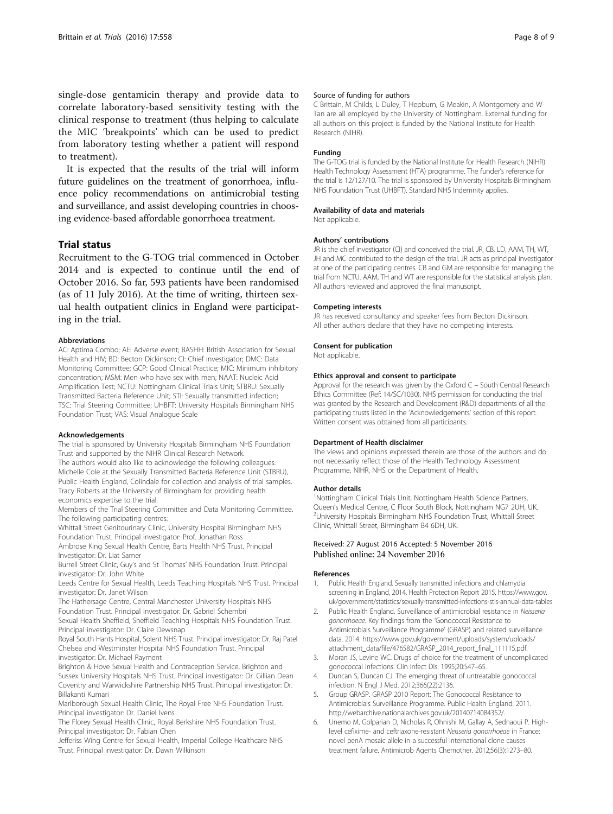<span id="page-7-0"></span>single-dose gentamicin therapy and provide data to correlate laboratory-based sensitivity testing with the clinical response to treatment (thus helping to calculate the MIC 'breakpoints' which can be used to predict from laboratory testing whether a patient will respond to treatment).

It is expected that the results of the trial will inform future guidelines on the treatment of gonorrhoea, influence policy recommendations on antimicrobial testing and surveillance, and assist developing countries in choosing evidence-based affordable gonorrhoea treatment.

# Trial status

Recruitment to the G-TOG trial commenced in October 2014 and is expected to continue until the end of October 2016. So far, 593 patients have been randomised (as of 11 July 2016). At the time of writing, thirteen sexual health outpatient clinics in England were participating in the trial.

## Abbreviations

AC: Aptima Combo; AE: Adverse event; BASHH: British Association for Sexual Health and HIV; BD: Becton Dickinson; CI: Chief investigator; DMC: Data Monitoring Committee; GCP: Good Clinical Practice; MIC: Minimum inhibitory concentration; MSM: Men who have sex with men; NAAT: Nucleic Acid Amplification Test; NCTU: Nottingham Clinical Trials Unit; STBRU: Sexually Transmitted Bacteria Reference Unit; STI: Sexually transmitted infection; TSC: Trial Steering Committee; UHBFT: University Hospitals Birmingham NHS Foundation Trust; VAS: Visual Analogue Scale

## Acknowledgements

The trial is sponsored by University Hospitals Birmingham NHS Foundation Trust and supported by the NIHR Clinical Research Network.

The authors would also like to acknowledge the following colleagues: Michelle Cole at the Sexually Transmitted Bacteria Reference Unit (STBRU), Public Health England, Colindale for collection and analysis of trial samples. Tracy Roberts at the University of Birmingham for providing health economics expertise to the trial.

Members of the Trial Steering Committee and Data Monitoring Committee. The following participating centres:

Whittall Street Genitourinary Clinic, University Hospital Birmingham NHS Foundation Trust. Principal investigator: Prof. Jonathan Ross

Ambrose King Sexual Health Centre, Barts Health NHS Trust. Principal Investigator: Dr. Liat Sarner

Burrell Street Clinic, Guy's and St Thomas' NHS Foundation Trust. Principal investigator: Dr. John White

Leeds Centre for Sexual Health, Leeds Teaching Hospitals NHS Trust. Principal investigator: Dr. Janet Wilson

The Hathersage Centre, Central Manchester University Hospitals NHS Foundation Trust. Principal investigator: Dr. Gabriel Schembri

Sexual Health Sheffield, Sheffield Teaching Hospitals NHS Foundation Trust. Principal investigator: Dr. Claire Dewsnap

Royal South Hants Hospital, Solent NHS Trust. Principal investigator: Dr. Raj Patel Chelsea and Westminster Hospital NHS Foundation Trust. Principal investigator: Dr. Michael Rayment

Brighton & Hove Sexual Health and Contraception Service, Brighton and Sussex University Hospitals NHS Trust. Principal investigator: Dr. Gillian Dean Coventry and Warwickshire Partnership NHS Trust. Principal investigator: Dr. Billakanti Kumari

Marlborough Sexual Health Clinic, The Royal Free NHS Foundation Trust. Principal investigator: Dr. Daniel Ivens

The Florey Sexual Health Clinic, Royal Berkshire NHS Foundation Trust. Principal investigator: Dr. Fabian Chen

Jefferiss Wing Centre for Sexual Health, Imperial College Healthcare NHS Trust. Principal investigator: Dr. Dawn Wilkinson

# Source of funding for authors

C Brittain, M Childs, L Duley, T Hepburn, G Meakin, A Montgomery and W Tan are all employed by the University of Nottingham. External funding for all authors on this project is funded by the National Institute for Health Research (NIHR).

# Funding

The G-TOG trial is funded by the National Institute for Health Research (NIHR) Health Technology Assessment (HTA) programme. The funder's reference for the trial is 12/127/10. The trial is sponsored by University Hospitals Birmingham NHS Foundation Trust (UHBFT). Standard NHS Indemnity applies.

# Availability of data and materials

Not applicable.

# Authors' contributions

JR is the chief investigator (CI) and conceived the trial. JR, CB, LD, AAM, TH, WT, JH and MC contributed to the design of the trial. JR acts as principal investigator at one of the participating centres. CB and GM are responsible for managing the trial from NCTU. AAM, TH and WT are responsible for the statistical analysis plan. All authors reviewed and approved the final manuscript.

# Competing interests

JR has received consultancy and speaker fees from Becton Dickinson. All other authors declare that they have no competing interests.

# Consent for publication

Not applicable.

# Ethics approval and consent to participate

Approval for the research was given by the Oxford C – South Central Research Ethics Committee (Ref: 14/SC/1030). NHS permission for conducting the trial was granted by the Research and Development (R&D) departments of all the participating trusts listed in the 'Acknowledgements' section of this report. Written consent was obtained from all participants.

# Department of Health disclaimer

The views and opinions expressed therein are those of the authors and do not necessarily reflect those of the Health Technology Assessment Programme, NIHR, NHS or the Department of Health.

## Author details

<sup>1</sup>Nottingham Clinical Trials Unit, Nottingham Health Science Partners, Queen's Medical Centre, C Floor South Block, Nottingham NG7 2UH, UK. <sup>2</sup> <sup>2</sup>University Hospitals Birmingham NHS Foundation Trust, Whittall Street Clinic, Whittall Street, Birmingham B4 6DH, UK.

# Received: 27 August 2016 Accepted: 5 November 2016 Published online: 24 November 2016

## References

- 1. Public Health England. Sexually transmitted infections and chlamydia screening in England, 2014. Health Protection Report 2015. [https://www.gov.](https://www.gov.uk/government/statistics/sexually-transmitted-infections-stis-annual-data-tables) [uk/government/statistics/sexually-transmitted-infections-stis-annual-data-tables](https://www.gov.uk/government/statistics/sexually-transmitted-infections-stis-annual-data-tables)
- 2. Public Health England. Surveillance of antimicrobial resistance in Neisseria gonorrhoeae. Key findings from the 'Gonococcal Resistance to Antimicrobials Surveillance Programme' (GRASP) and related surveillance data. 2014. [https://www.gov.uk/government/uploads/system/uploads/](https://www.gov.uk/government/uploads/system/uploads/attachment_data/file/476582/GRASP_2014_report_final_111115.pdf) [attachment\\_data/file/476582/GRASP\\_2014\\_report\\_final\\_111115.pdf.](https://www.gov.uk/government/uploads/system/uploads/attachment_data/file/476582/GRASP_2014_report_final_111115.pdf)
- 3. Moran JS, Levine WC. Drugs of choice for the treatment of uncomplicated gonococcal infections. Clin Infect Dis. 1995;20:S47–65.
- 4. Duncan S, Duncan CJ. The emerging threat of untreatable gonococcal infection. N Engl J Med. 2012;366(22):2136.
- 5. Group GRASP. GRASP 2010 Report: The Gonococcal Resistance to Antimicrobials Surveillance Programme. Public Health England. 2011. [http://webarchive.nationalarchives.gov.uk/20140714084352/.](http://webarchive.nationalarchives.gov.uk/20140714084352/)
- 6. Unemo M, Golparian D, Nicholas R, Ohnishi M, Gallay A, Sednaoui P. Highlevel cefixime- and ceftriaxone-resistant Neisseria gonorrhoeae in France: novel penA mosaic allele in a successful international clone causes treatment failure. Antimicrob Agents Chemother. 2012;56(3):1273–80.